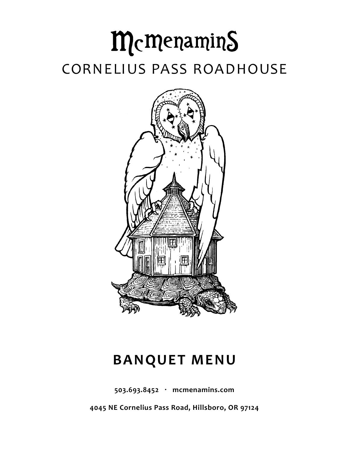# McMenamins CORNELIUS PASS ROADHOUSE



# **BANQUET MENU**

**503.693.8452 · mcmenamins.com**

**4045 NE Cornelius Pass Road, Hillsboro, OR 97124**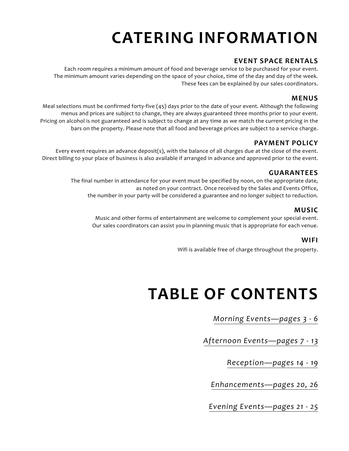# **CATERING INFORMATION**

# **EVENT SPACE RENTALS**

Each room requires a minimum amount of food and beverage service to be purchased for your event. The minimum amount varies depending on the space of your choice, time of the day and day of the week. These fees can be explained by our sales coordinators.

### **MENUS**

Meal selections must be confirmed forty-five (45) days prior to the date of your event. Although the following menus and prices are subject to change, they are always guaranteed three months prior to your event. Pricing on alcohol is not guaranteed and is subject to change at any time as we match the current pricing in the bars on the property. Please note that all food and beverage prices are subject to a service charge.

### **PAYMENT POLICY**

Every event requires an advance deposit(s), with the balance of all charges due at the close of the event. Direct billing to your place of business is also available if arranged in advance and approved prior to the event.

### **GUARANTEES**

The final number in attendance for your event must be specified by noon, on the appropriate date, as noted on your contract. Once received by the Sales and Events Office, the number in your party will be considered a guarantee and no longer subject to reduction.

### **MUSIC**

Music and other forms of entertainment are welcome to complement your special event. Our sales coordinators can assist you in planning music that is appropriate for each venue.

#### **WIFI**

Wifi is available free of charge throughout the property.

# **TABLE OF CONTENTS**

*Morning Events—pages 3 - 6*

*[Afternoon Events—pages 7 - 13](#page-6-0)*

*Reception[—pages 14](#page-13-0) - 19*

*[Enhancements—pages 2](#page-19-0)0, 26*

*[Evening Events—pages 21 - 2](#page-20-0)5*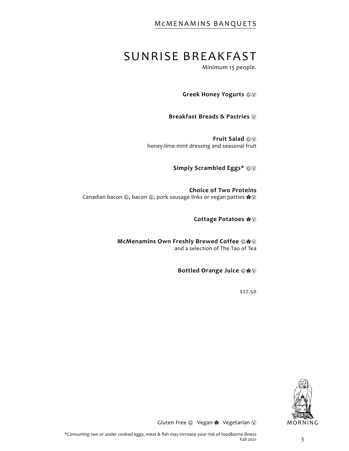# SUNRISE BREAKFAST

*Minimum 15 people.*

Greek Honey Yogurts  $@@$ 

**Breakfast Breads & Pastries** Ⓥ

Fruit Salad  $@@$ honey-lime-mint dressing and seasonal fruit

Simply Scrambled Eggs\*  $@@$ 

**Choice of Two Proteins** Canadian bacon , bacon *©*, pork sausage links or vegan patties \* *V* 

**Cottage Potatoes** ✿Ⓥ

**McMenamins Own Freshly Brewed Coffee**  $@$  **\*** and a selection of The Tao of Tea

**Bottled Orange Juice** Ⓖ✿Ⓥ

\$27.50

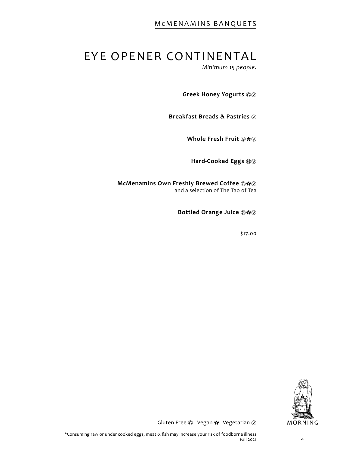# EYE OPENER CONTINENTAL

*Minimum 15 people.*

Greek Honey Yogurts  $@@$ 

**Breakfast Breads & Pastries** Ⓥ

**Whole Fresh Fruit ©\*** 

Hard-Cooked Eggs  $@@$ 

**McMenamins Own Freshly Brewed Coffee**  $@$  $@$ and a selection of The Tao of Tea

**Bottled Orange Juice**  $@$  **\*** 

\$17.00

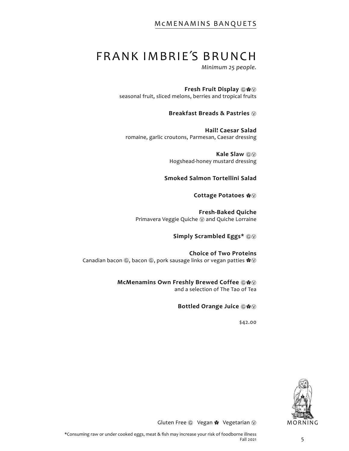# FRANK IMBRIE΄S BRUNCH

*Minimum 25 people.*

**Fresh Fruit Display ◎**  $\&$ seasonal fruit, sliced melons, berries and tropical fruits

**Breakfast Breads & Pastries** Ⓥ

**Hail! Caesar Salad** romaine, garlic croutons, Parmesan, Caesar dressing

> **Kale Slaw**  $\textcircled{\tiny{\textcircled{\tiny{W}}}}$ Hogshead-honey mustard dressing

**Smoked Salmon Tortellini Salad**

**Cottage Potatoes** ✿Ⓥ

**Fresh-Baked Quiche** Primavera Veggie Quiche (V) and Quiche Lorraine

**Simply Scrambled Eggs\***  $@@$ 

**Choice of Two Proteins** Canadian bacon  $\circledS$ , bacon  $\circledS$ , pork sausage links or vegan patties  $\clubsuit \circledS$ 

> **McMenamins Own Freshly Brewed Coffee**  $\circ$  **\*** and a selection of The Tao of Tea

**Bottled Orange Juice**  $@$  $@$ 

\$42.00

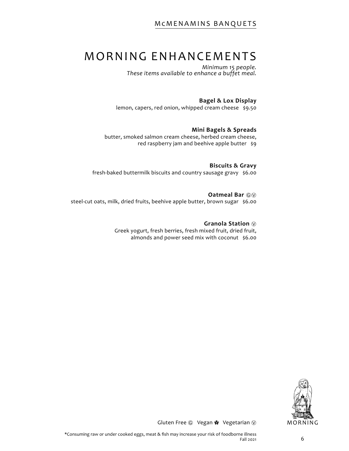# MORNING ENHANCEMENTS

*Minimum 15 people. These items available to enhance a buffet meal.*

#### **Bagel & Lox Display**

lemon, capers, red onion, whipped cream cheese \$9.50

#### **Mini Bagels & Spreads**

butter, smoked salmon cream cheese, herbed cream cheese, red raspberry jam and beehive apple butter \$9

**Biscuits & Gravy**  fresh-baked buttermilk biscuits and country sausage gravy \$6.00

Oatmeal Bar  $@@$ steel-cut oats, milk, dried fruits, beehive apple butter, brown sugar \$6.00

> **Granola Station** Ⓥ Greek yogurt, fresh berries, fresh mixed fruit, dried fruit, almonds and power seed mix with coconut \$6.00

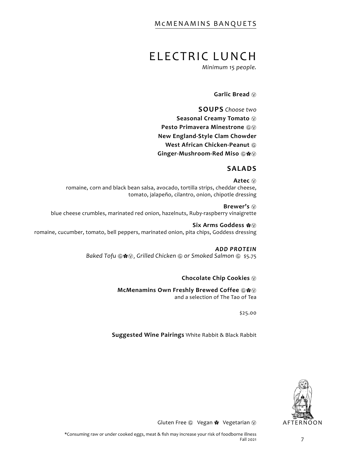# <span id="page-6-0"></span>ELECTRIC LUNCH

*Minimum 15 people.*

#### Garlic Bread  $\circledR$

**SOUPS** *Choose two* Seasonal Creamy Tomato  $\circledcirc$ **Pesto Primavera Minestrone**  $@@@$ **New England-Style Clam Chowder West African Chicken-Peanut**  $@$ **Ginger-Mushroom-Red Miso**  $@$  $\&$  $@$ 

#### **SALADS**

**Aztec** Ⓥ romaine, corn and black bean salsa, avocado, tortilla strips, cheddar cheese, tomato, jalapeño, cilantro, onion, chipotle dressing

**Brewer's**  $\circledcirc$ blue cheese crumbles, marinated red onion, hazelnuts, Ruby-raspberry vinaigrette

**Six Arms Goddess** ✿Ⓥ romaine, cucumber, tomato, bell peppers, marinated onion, pita chips, Goddess dressing

#### *ADD PROTEIN*

*Baked Tofu* © \* ⊙, Grilled Chicken © or Smoked Salmon © \$5.75

#### **Chocolate Chip Cookies**  $\circledcirc$

**McMenamins Own Freshly Brewed Coffee**  $\circledR$ 

and a selection of The Tao of Tea

\$25.00

**Suggested Wine Pairings** White Rabbit & Black Rabbit

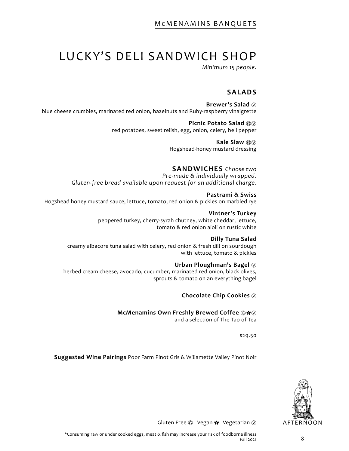# LUCKY'S DELI SANDWICH SHOP

*Minimum 15 people.*

### **SALADS**

**Brewer's Salad** Ⓥ blue cheese crumbles, marinated red onion, hazelnuts and Ruby-raspberry vinaigrette

> **Picnic Potato Salad**  $@$ red potatoes, sweet relish, egg, onion, celery, bell pepper

> > **Kale Slaw**  $\textcircled{\scriptsize{}}\textcircled{\scriptsize{}}\textcircled{\scriptsize{}}$ Hogshead-honey mustard dressing

#### **SANDWICHES** *Choose two*

*Pre-made & individually wrapped. Gluten-free bread available upon request for an additional charge.*

**Pastrami & Swiss** Hogshead honey mustard sauce, lettuce, tomato, red onion & pickles on marbled rye

> **Vintner's Turkey** peppered turkey, cherry-syrah chutney, white cheddar, lettuce, tomato & red onion aioli on rustic white

#### **Dilly Tuna Salad**

creamy albacore tuna salad with celery, red onion & fresh dill on sourdough with lettuce, tomato & pickles

#### Urban Ploughman's Bagel  $\circledcirc$

herbed cream cheese, avocado, cucumber, marinated red onion, black olives, sprouts & tomato on an everything bagel

**Chocolate Chip Cookies**  $\circledcirc$ 

**McMenamins Own Freshly Brewed Coffee ©※** 

and a selection of The Tao of Tea

\$29.50

**Suggested Wine Pairings** Poor Farm Pinot Gris & Willamette Valley Pinot Noir

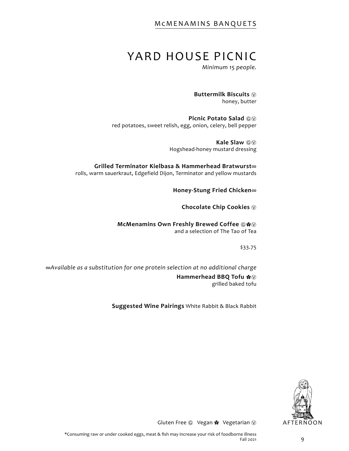# YARD HOUSE PICNIC

*Minimum 15 people.*

**Buttermilk Biscuits** Ⓥ honey, butter

**Picnic Potato Salad**  $\textcircled{\tiny{\textcircled{\tiny{W}}}}$ red potatoes, sweet relish, egg, onion, celery, bell pepper

> **Kale Slaw**  $\textcircled{\tiny{\textcircled{\tiny{W}}}}$ Hogshead-honey mustard dressing

**Grilled Terminator Kielbasa & Hammerhead Bratwurst**∞ rolls, warm sauerkraut, Edgefield Dijon, Terminator and yellow mustards

**Honey-Stung Fried Chicken**∞

**Chocolate Chip Cookies** Ⓥ

**McMenamins Own Freshly Brewed Coffee ©※** and a selection of The Tao of Tea

\$33.75

∞*Available as a substitution for one protein selection at no additional charge* 

**Hammerhead BBQ Tofu**  $\clubsuit$ grilled baked tofu

**Suggested Wine Pairings** White Rabbit & Black Rabbit

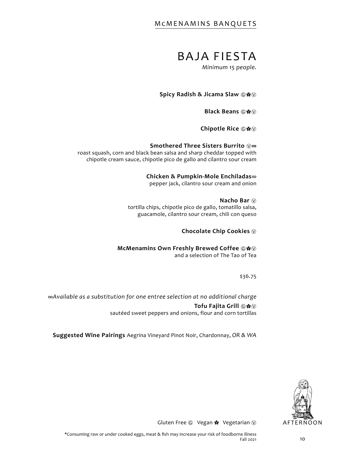# BAJA FIESTA

*Minimum 15 people.*

**Spicy Radish & Jicama Slaw ⓒ**  $\&$ 

**Black Beans ©※** 

**Chipotle Rice** Ⓖ✿Ⓥ

**Smothered Three Sisters Burrito** Ⓥ**∞**

roast squash, corn and black bean salsa and sharp cheddar topped with chipotle cream sauce, chipotle pico de gallo and cilantro sour cream

#### **Chicken & Pumpkin-Mole Enchiladas**∞

pepper jack, cilantro sour cream and onion

**Nacho Bar** Ⓥ tortilla chips, chipotle pico de gallo, tomatillo salsa, guacamole, cilantro sour cream, chili con queso

**Chocolate Chip Cookies** Ⓥ

**McMenamins Own Freshly Brewed Coffee**  $\circ$ and a selection of The Tao of Tea

\$36.75

*∞Available as a substitution for one entree selection at no additional charge*  **Tofu Fajita Grill** ◎  $\&$ sautéed sweet peppers and onions, flour and corn tortillas

**Suggested Wine Pairings** Aegrina Vineyard Pinot Noir, Chardonnay, *OR & WA*

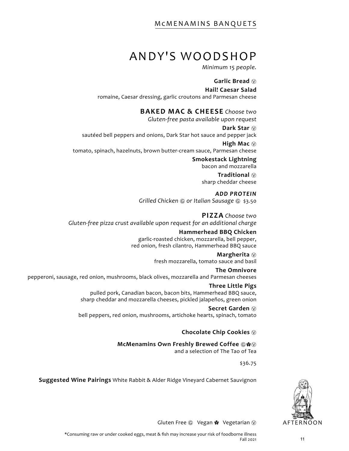# ANDY'S WOODSHOP

*Minimum 15 people.*

#### **Garlic Bread** Ⓥ

#### **Hail! Caesar Salad**

romaine, Caesar dressing, garlic croutons and Parmesan cheese

# **BAKED MAC & CHEESE** *Choose two*

*Gluten-free pasta available upon request*

Dark Star  $\circledcirc$ sautéed bell peppers and onions, Dark Star hot sauce and pepper jack

**High Mac**  $\circledcirc$ tomato, spinach, hazelnuts, brown butter-cream sauce, Parmesan cheese

> **Smokestack Lightning** bacon and mozzarella

> > **Traditional** Ⓥ sharp cheddar cheese

*ADD PROTEIN Grilled Chicken* Ⓖ *or Italian Sausage* Ⓖ \$3.50

### **PIZZA** *Choose two Gluten-free pizza crust available upon request for an additional charge*

#### **Hammerhead BBQ Chicken**

garlic-roasted chicken, mozzarella, bell pepper, red onion, fresh cilantro, Hammerhead BBQ sauce

# **Margherita** Ⓥ

fresh mozzarella, tomato sauce and basil

# **The Omnivore**

pepperoni, sausage, red onion, mushrooms, black olives, mozzarella and Parmesan cheeses

# **Three Little Pigs**

pulled pork, Canadian bacon, bacon bits, Hammerhead BBQ sauce, sharp cheddar and mozzarella cheeses, pickled jalapeños, green onion

#### **Secret Garden** Ⓥ

bell peppers, red onion, mushrooms, artichoke hearts, spinach, tomato

# **Chocolate Chip Cookies**  $\circledcirc$

**McMenamins Own Freshly Brewed Coffee 
a**  $\bullet\$ and a selection of The Tao of Tea

\$36.75

**Suggested Wine Pairings** White Rabbit & Alder Ridge Vineyard Cabernet Sauvignon

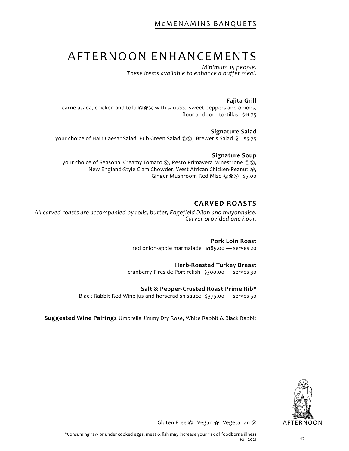# AFTERNOON ENHANCEMENTS

*Minimum 15 people. These items available to enhance a buffet meal.*

#### **Fajita Grill**

carne asada, chicken and tofu  $\mathbf{Q} \cdot \mathbf{w}$  with sautéed sweet peppers and onions, flour and corn tortillas \$11.75

#### **Signature Salad**

your choice of Hail! Caesar Salad, Pub Green Salad *newer's* Salad <sup>®</sup> \$5.75

#### **Signature Soup**

your choice of Seasonal Creamy Tomato  $\textcircled{v}$ , Pesto Primavera Minestrone  $\textcircled{v}$ , New England-Style Clam Chowder, West African Chicken-Peanut *@*, Ginger-Mushroom-Red Miso ⓒ  $\otimes$  \$5.00

#### **CARVED ROASTS**

*All carved roasts are accompanied by rolls, butter, Edgefield Dijon and mayonnaise. Carver provided one hour.*

> **Pork Loin Roast**  red onion-apple marmalade \$185.00 — serves 20

#### **Herb-Roasted Turkey Breast**

cranberry-Fireside Port relish \$300.00 — serves 30

#### **Salt & Pepper-Crusted Roast Prime Rib\***

Black Rabbit Red Wine jus and horseradish sauce \$375.00 — serves 50

**Suggested Wine Pairings** Umbrella Jimmy Dry Rose, White Rabbit & Black Rabbit

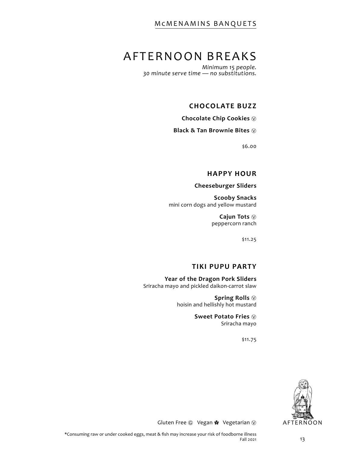# AFTERNOON BREAKS

*Minimum 15 people. 30 minute serve time — no substitutions.*

#### **CHOCOLATE BUZZ**

**Chocolate Chip Cookies** Ⓥ

**Black & Tan Brownie Bites**  $\circledR$ 

\$6.00

#### **HAPPY HOUR**

**Cheeseburger Sliders** 

**Scooby Snacks** mini corn dogs and yellow mustard

> **Cajun Tots** Ⓥ peppercorn ranch

> > \$11.25

#### **TIKI PUPU PARTY**

**Year of the Dragon Pork Sliders** Sriracha mayo and pickled daikon-carrot slaw

> **Spring Rolls** Ⓥ hoisin and hellishly hot mustard

> > **Sweet Potato Fries**  $\circledcirc$ Sriracha mayo

> > > \$11.75

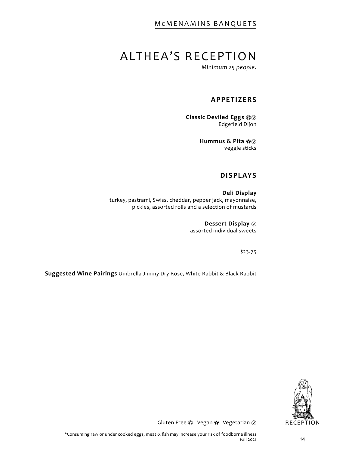# <span id="page-13-0"></span>ALTHEA'S RECEPTION

*Minimum 25 people.*

### **APPETIZERS**

**Classic Deviled Eggs**  $@@$ Edgefield Dijon

> **Hummus & Pita** ✿Ⓥ veggie sticks

#### **DISPLAYS**

**Deli Display** turkey, pastrami, Swiss, cheddar, pepper jack, mayonnaise, pickles, assorted rolls and a selection of mustards

> **Dessert Display** Ⓥ assorted individual sweets

> > \$23.75

**Suggested Wine Pairings** Umbrella Jimmy Dry Rose, White Rabbit & Black Rabbit

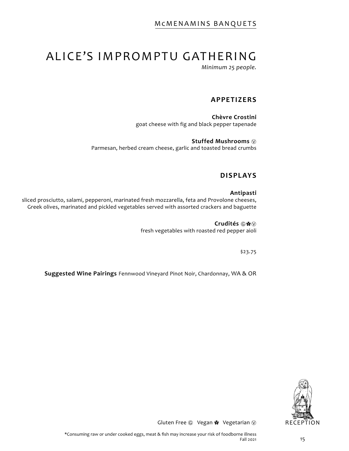# ALICE'S IMPROMPTU GATHERING

*Minimum 25 people.*

### **APPETIZERS**

**Chèvre Crostini** goat cheese with fig and black pepper tapenade

**Stuffed Mushrooms** Ⓥ Parmesan, herbed cream cheese, garlic and toasted bread crumbs

### **DISPLAYS**

#### **Antipasti**

sliced prosciutto, salami, pepperoni, marinated fresh mozzarella, feta and Provolone cheeses, Greek olives, marinated and pickled vegetables served with assorted crackers and baguette

> **Crudités** Ⓖ✿Ⓥ fresh vegetables with roasted red pepper aioli

> > \$23.75

**Suggested Wine Pairings** Fennwood Vineyard Pinot Noir, Chardonnay, WA & OR

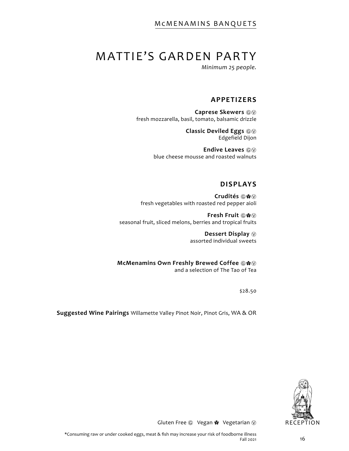# MATTIE'S GARDEN PARTY

*Minimum 25 people.*

### **APPETIZERS**

**Caprese Skewers**  $@@$ fresh mozzarella, basil, tomato, balsamic drizzle

> **Classic Deviled Eggs**  $@@$ Edgefield Dijon

Endive Leaves  $@@$ blue cheese mousse and roasted walnuts

#### **DISPLAYS**

**Crudités** Ⓖ✿Ⓥ fresh vegetables with roasted red pepper aioli

**Fresh Fruit ©※** seasonal fruit, sliced melons, berries and tropical fruits

> **Dessert Display** Ⓥ assorted individual sweets

**McMenamins Own Freshly Brewed Coffee**  $@$  $@$ and a selection of The Tao of Tea

\$28.50

**Suggested Wine Pairings** Willamette Valley Pinot Noir, Pinot Gris, WA & OR

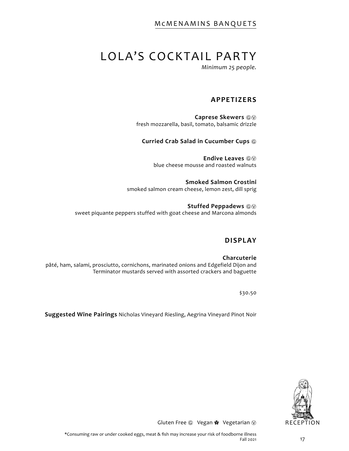# LOLA'S COCKTAIL PARTY

*Minimum 25 people.*

### **APPETIZERS**

**Caprese Skewers** ⒼⓋ fresh mozzarella, basil, tomato, balsamic drizzle

#### **Curried Crab Salad in Cucumber Cups** Ⓖ

Endive Leaves  $\textcircled{\tiny{6}}$ blue cheese mousse and roasted walnuts

**Smoked Salmon Crostini** smoked salmon cream cheese, lemon zest, dill sprig

**Stuffed Peppadews**  $\textcircled{\tiny{\textcircled{\tiny{W}}}}$ sweet piquante peppers stuffed with goat cheese and Marcona almonds

#### **DISPLAY**

**Charcuterie** pâté, ham, salami, prosciutto, cornichons, marinated onions and Edgefield Dijon and Terminator mustards served with assorted crackers and baguette

\$30.50

**Suggested Wine Pairings** Nicholas Vineyard Riesling, Aegrina Vineyard Pinot Noir

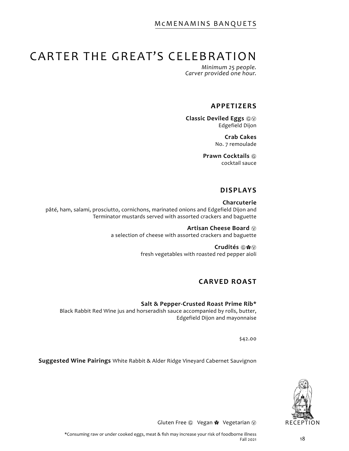# CARTER THE GREAT'S CELEBRATION

*Minimum 25 people. Carver provided one hour.*

#### **APPETIZERS**

**Classic Deviled Eggs**  $@@$ Edgefield Dijon

> **Crab Cakes** No. 7 remoulade

**Prawn Cocktails** Ⓖ cocktail sauce

### **DISPLAYS**

**Charcuterie** pâté, ham, salami, prosciutto, cornichons, marinated onions and Edgefield Dijon and Terminator mustards served with assorted crackers and baguette

> **Artisan Cheese Board** Ⓥ a selection of cheese with assorted crackers and baguette

> > **Crudités** Ⓖ✿Ⓥ fresh vegetables with roasted red pepper aioli

# **CARVED ROAST**

#### **Salt & Pepper-Crusted Roast Prime Rib\***

Black Rabbit Red Wine jus and horseradish sauce accompanied by rolls, butter, Edgefield Dijon and mayonnaise

\$42.00

**Suggested Wine Pairings** White Rabbit & Alder Ridge Vineyard Cabernet Sauvignon

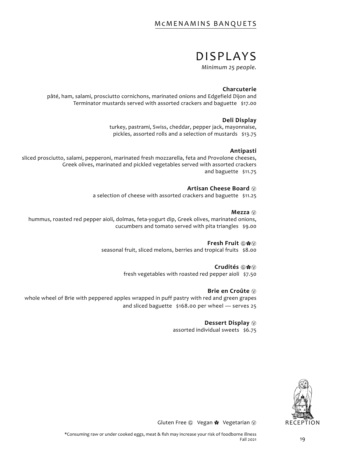# DISPLAYS

*Minimum 25 people.*

#### **Charcuterie**

pâté, ham, salami, prosciutto cornichons, marinated onions and Edgefield Dijon and Terminator mustards served with assorted crackers and baguette \$17.00

#### **Deli Display**

turkey, pastrami, Swiss, cheddar, pepper jack, mayonnaise, pickles, assorted rolls and a selection of mustards \$13.75

#### **Antipasti**

sliced prosciutto, salami, pepperoni, marinated fresh mozzarella, feta and Provolone cheeses, Greek olives, marinated and pickled vegetables served with assorted crackers and baguette \$11.75

#### **Artisan Cheese Board** Ⓥ

a selection of cheese with assorted crackers and baguette \$11.25

#### **Mezza** Ⓥ

hummus, roasted red pepper aioli, dolmas, feta-yogurt dip, Greek olives, marinated onions, cucumbers and tomato served with pita triangles \$9.00

#### **Fresh Fruit ©※**

seasonal fruit, sliced melons, berries and tropical fruits \$8.00

#### **Crudités** Ⓖ✿Ⓥ

fresh vegetables with roasted red pepper aioli \$7.50

#### **Brie en Croûte** Ⓥ

whole wheel of Brie with peppered apples wrapped in puff pastry with red and green grapes and sliced baguette \$168.00 per wheel — serves 25

#### **Dessert Display** Ⓥ

assorted individual sweets \$6.75

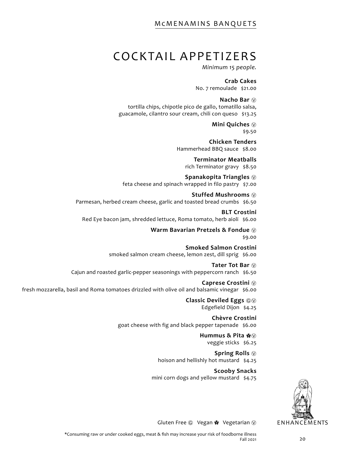# <span id="page-19-0"></span>COCKTAIL APPETIZERS

*Minimum 15 people.*

**Crab Cakes** No. 7 remoulade \$21.00

**Nacho Bar** Ⓥ tortilla chips, chipotle pico de gallo, tomatillo salsa, guacamole, cilantro sour cream, chili con queso \$13.25

> **Mini Quiches** Ⓥ \$9.50

**Chicken Tenders** Hammerhead BBQ sauce \$8.00

**Terminator Meatballs**  rich Terminator gravy \$8.50

**Spanakopita Triangles** Ⓥ feta cheese and spinach wrapped in filo pastry \$7.00

**Stuffed Mushrooms** Ⓥ Parmesan, herbed cream cheese, garlic and toasted bread crumbs \$6.50

**BLT Crostini** Red Eye bacon jam, shredded lettuce, Roma tomato, herb aioli \$6.00

> **Warm Bavarian Pretzels & Fondue** Ⓥ \$9.00

**Smoked Salmon Crostini** smoked salmon cream cheese, lemon zest, dill sprig \$6.00

**Tater Tot Bar** Ⓥ Cajun and roasted garlic-pepper seasonings with peppercorn ranch \$6.50

**Caprese Crostini** Ⓥ fresh mozzarella, basil and Roma tomatoes drizzled with olive oil and balsamic vinegar \$6.00

> **Classic Deviled Eggs**  $@@$ Edgefield Dijon \$4.25

**Chèvre Crostini** goat cheese with fig and black pepper tapenade \$6.00

> **Hummus & Pita** ✿Ⓥ veggie sticks \$6.25

**Spring Rolls** Ⓥ hoison and hellishly hot mustard \$4.25

**Scooby Snacks** mini corn dogs and yellow mustard \$4.75

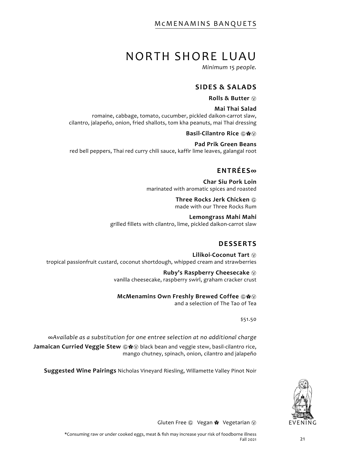# NORTH SHORE LUAU

*Minimum 15 people.*

#### **SIDES & SALADS**

**Rolls & Butter** Ⓥ

#### **Mai Thai Salad**

<span id="page-20-0"></span>romaine, cabbage, tomato, cucumber, pickled daikon-carrot slaw, cilantro, jalapeño, onion, fried shallots, tom kha peanuts, mai Thai dressing

**Basil-Cilantro Rice ⓒ**  $\&$ 

**Pad Prik Green Beans** red bell peppers, Thai red curry chili sauce, kaffir lime leaves, galangal root

### **ENTRÉES∞**

**Char Siu Pork Loin**  marinated with aromatic spices and roasted

> **Three Rocks Jerk Chicken** Ⓖ made with our Three Rocks Rum

**Lemongrass Mahi Mahi**  grilled fillets with cilantro, lime, pickled daikon-carrot slaw

### **DESSERTS**

**Lilikoi-Coconut Tart** Ⓥ tropical passionfruit custard, coconut shortdough, whipped cream and strawberries

> **Ruby's Raspberry Cheesecake** Ⓥ vanilla cheesecake, raspberry swirl, graham cracker crust

**McMenamins Own Freshly Brewed Coffee**  $\circ$ 

and a selection of The Tao of Tea

\$51.50

*∞Available as a substitution for one entree selection at no additional charge* 

**Jamaican Curried Veggie Stew** Ⓖ✿Ⓥ black bean and veggie stew, basil-cilantro rice, mango chutney, spinach, onion, cilantro and jalapeño

**Suggested Wine Pairings** Nicholas Vineyard Riesling, Willamette Valley Pinot Noir

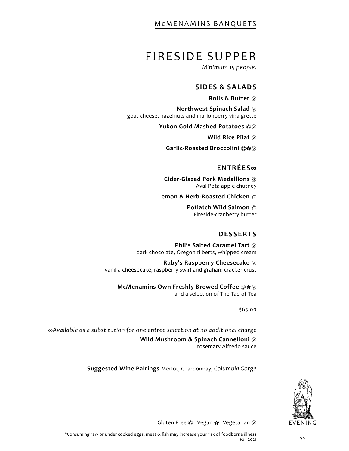# FIRESIDE SUPPER

*Minimum 15 people.*

#### **SIDES & SALADS**

**Rolls & Butter** Ⓥ

**Northwest Spinach Salad** Ⓥ goat cheese, hazelnuts and marionberry vinaigrette

Yukon Gold Mashed Potatoes  $@@$ 

**Wild Rice Pilaf**  $\circledcirc$ 

**Garlic-Roasted Broccolini**  $@$   $@$ 

#### **ENTRÉES∞**

**Cider-Glazed Pork Medallions** Ⓖ Aval Pota apple chutney

**Lemon & Herb-Roasted Chicken**  $@$ 

**Potlatch Wild Salmon**  $@$ Fireside-cranberry butter

#### **DESSERTS**

**Phil's Salted Caramel Tart**  $\heartsuit$ dark chocolate, Oregon filberts, whipped cream

**Ruby's Raspberry Cheesecake** Ⓥ vanilla cheesecake, raspberry swirl and graham cracker crust

**McMenamins Own Freshly Brewed Coffee** Ⓖ✿Ⓥ and a selection of The Tao of Tea

\$63.00

*∞Available as a substitution for one entree selection at no additional charge*  **Wild Mushroom & Spinach Cannelloni**  $\circledR$ rosemary Alfredo sauce

**Suggested Wine Pairings** Merlot, Chardonnay, *Columbia Gorge*

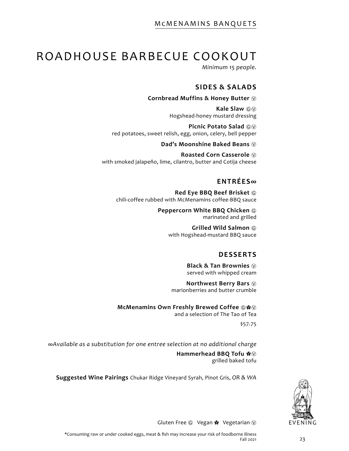# ROADHOUSE BARBECUE COOKOUT

*Minimum 15 people.*

### **SIDES & SALADS**

#### **Cornbread Muffins & Honey Butter** Ⓥ

**Kale Slaw**  $\textcircled{\scriptsize{w}}$ Hogshead-honey mustard dressing

**Picnic Potato Salad**  $\textcircled{\tiny{\textcircled{\tiny{W}}}}$ red potatoes, sweet relish, egg, onion, celery, bell pepper

**Dad's Moonshine Baked Beans**  $\circledR$ 

**Roasted Corn Casserole** Ⓥ with smoked jalapeño, lime, cilantro, butter and Cotija cheese

### **ENTRÉES∞**

**Red Eye BBQ Beef Brisket** Ⓖ chili-coffee rubbed with McMenamins coffee-BBQ sauce

> **Peppercorn White BBQ Chicken**  $@$ marinated and grilled

> > **Grilled Wild Salmon** Ⓖ with Hogshead-mustard BBQ sauce

# **DESSERTS**

**Black & Tan Brownies**  $\heartsuit$ served with whipped cream

**Northwest Berry Bars** Ⓥ marionberries and butter crumble

**McMenamins Own Freshly Brewed Coffee**  $\circ$  **\*** and a selection of The Tao of Tea

\$57.75

*∞Available as a substitution for one entree selection at no additional charge* 

**Hammerhead BBQ Tofu**  $\clubsuit$ grilled baked tofu

**Suggested Wine Pairings** Chukar Ridge Vineyard Syrah, Pinot Gris, *OR & WA*

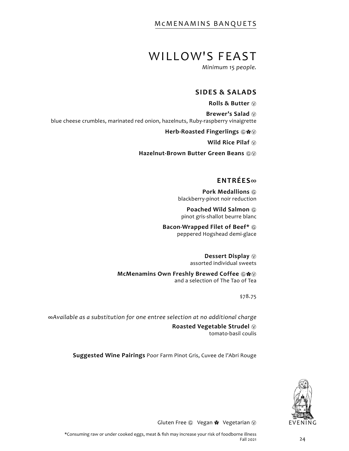# WILLOW'S FEAST

*Minimum 15 people.*

#### **SIDES & SALADS**

**Rolls & Butter** Ⓥ

**Brewer's Salad** Ⓥ blue cheese crumbles, marinated red onion, hazelnuts, Ruby-raspberry vinaigrette

**Herb-Roasted Fingerlings**  $@$  $@$ 

**Wild Rice Pilaf**  $\circledcirc$ 

**Hazelnut-Brown Butter Green Beans**  $@@$ 

# **ENTRÉES**∞

**Pork Medallions** Ⓖ blackberry-pinot noir reduction

**Poached Wild Salmon**  $@$ pinot gris-shallot beurre blanc

**Bacon-Wrapped Filet of Beef\***  $\textcircled{e}$ peppered Hogshead demi-glace

> **Dessert Display** Ⓥ assorted individual sweets

**McMenamins Own Freshly Brewed Coffee**  $\circledR \cdot \bullet \circledR$ and a selection of The Tao of Tea

\$78.75

*∞Available as a substitution for one entree selection at no additional charge* 

**Roasted Vegetable Strudel** Ⓥ tomato-basil coulis

**Suggested Wine Pairings** Poor Farm Pinot Gris, Cuvee de l'Abri Rouge

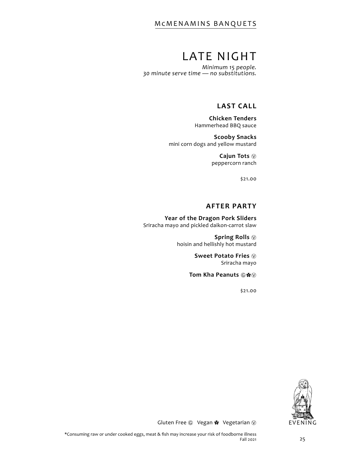# LATE NIGHT

*Minimum 15 people. 30 minute serve time — no substitutions.*

### **LAST CALL**

**Chicken Tenders** Hammerhead BBQ sauce

**Scooby Snacks** mini corn dogs and yellow mustard

> **Cajun Tots** Ⓥ peppercorn ranch

> > \$21.00

#### **AFTER PARTY**

**Year of the Dragon Pork Sliders** Sriracha mayo and pickled daikon-carrot slaw

> **Spring Rolls** Ⓥ hoisin and hellishly hot mustard

> > **Sweet Potato Fries**  $\heartsuit$ Sriracha mayo

**Tom Kha Peanuts ©※** 

\$21.00